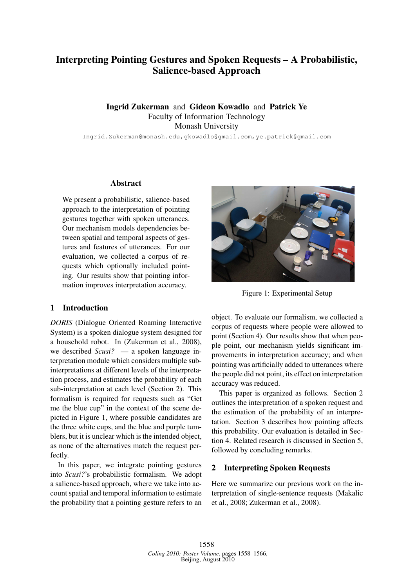# Interpreting Pointing Gestures and Spoken Requests – A Probabilistic, Salience-based Approach

Ingrid Zukerman and Gideon Kowadlo and Patrick Ye Faculty of Information Technology Monash University

Ingrid.Zukerman@monash.edu,gkowadlo@gmail.com,ye.patrick@gmail.com

## Abstract

We present a probabilistic, salience-based approach to the interpretation of pointing gestures together with spoken utterances. Our mechanism models dependencies between spatial and temporal aspects of gestures and features of utterances. For our evaluation, we collected a corpus of requests which optionally included pointing. Our results show that pointing information improves interpretation accuracy.

## 1 Introduction

*DORIS* (Dialogue Oriented Roaming Interactive System) is a spoken dialogue system designed for a household robot. In (Zukerman et al., 2008), we described *Scusi?* — a spoken language interpretation module which considers multiple subinterpretations at different levels of the interpretation process, and estimates the probability of each sub-interpretation at each level (Section 2). This formalism is required for requests such as "Get me the blue cup" in the context of the scene depicted in Figure 1, where possible candidates are the three white cups, and the blue and purple tumblers, but it is unclear which is the intended object, as none of the alternatives match the request perfectly.

In this paper, we integrate pointing gestures into *Scusi?*'s probabilistic formalism. We adopt a salience-based approach, where we take into account spatial and temporal information to estimate the probability that a pointing gesture refers to an



Figure 1: Experimental Setup

object. To evaluate our formalism, we collected a corpus of requests where people were allowed to point (Section 4). Our results show that when people point, our mechanism yields significant improvements in interpretation accuracy; and when pointing was artificially added to utterances where the people did not point, its effect on interpretation accuracy was reduced.

This paper is organized as follows. Section 2 outlines the interpretation of a spoken request and the estimation of the probability of an interpretation. Section 3 describes how pointing affects this probability. Our evaluation is detailed in Section 4. Related research is discussed in Section 5, followed by concluding remarks.

## 2 Interpreting Spoken Requests

Here we summarize our previous work on the interpretation of single-sentence requests (Makalic et al., 2008; Zukerman et al., 2008).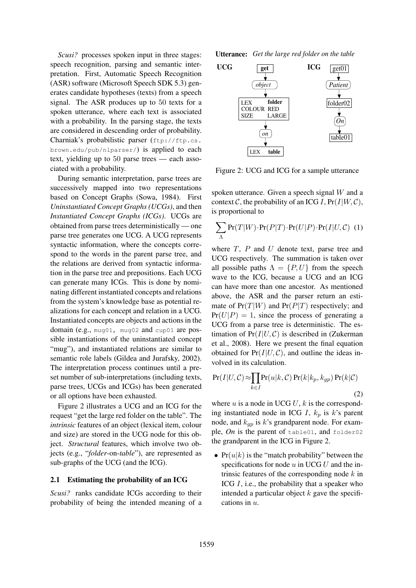*Scusi?* processes spoken input in three stages: speech recognition, parsing and semantic interpretation. First, Automatic Speech Recognition (ASR) software (Microsoft Speech SDK 5.3) generates candidate hypotheses (texts) from a speech signal. The ASR produces up to 50 texts for a spoken utterance, where each text is associated with a probability. In the parsing stage, the texts are considered in descending order of probability. Charniak's probabilistic parser (ftp://ftp.cs. brown.edu/pub/nlparser/) is applied to each text, yielding up to 50 parse trees — each associated with a probability.

During semantic interpretation, parse trees are successively mapped into two representations based on Concept Graphs (Sowa, 1984). First *Uninstantiated Concept Graphs (UCGs)*, and then *Instantiated Concept Graphs (ICGs)*. UCGs are obtained from parse trees deterministically — one parse tree generates one UCG. A UCG represents syntactic information, where the concepts correspond to the words in the parent parse tree, and the relations are derived from syntactic information in the parse tree and prepositions. Each UCG can generate many ICGs. This is done by nominating different instantiated concepts and relations from the system's knowledge base as potential realizations for each concept and relation in a UCG. Instantiated concepts are objects and actions in the domain (e.g., mug01, mug02 and cup01 are possible instantiations of the uninstantiated concept "mug"), and instantiated relations are similar to semantic role labels (Gildea and Jurafsky, 2002). The interpretation process continues until a preset number of sub-interpretations (including texts, parse trees, UCGs and ICGs) has been generated or all options have been exhausted.

Figure 2 illustrates a UCG and an ICG for the request "get the large red folder on the table". The *intrinsic* features of an object (lexical item, colour and size) are stored in the UCG node for this object. *Structural* features, which involve two objects (e.g., "*folder*-on-*table*"), are represented as sub-graphs of the UCG (and the ICG).

## 2.1 Estimating the probability of an ICG

*Scusi?* ranks candidate ICGs according to their probability of being the intended meaning of a **Utterance:** *Get the large red folder on the table*



Figure 2: UCG and ICG for a sample utterance

spoken utterance. Given a speech signal W and a context C, the probability of an ICG I,  $Pr(I|W, C)$ , is proportional to

$$
\sum_{\Lambda} \Pr(T|W) \cdot \Pr(P|T) \cdot \Pr(U|P) \cdot \Pr(I|U, C) \tag{1}
$$

where  $T$ ,  $P$  and  $U$  denote text, parse tree and UCG respectively. The summation is taken over all possible paths  $\Lambda = \{P, U\}$  from the speech wave to the ICG, because a UCG and an ICG can have more than one ancestor. As mentioned above, the ASR and the parser return an estimate of  $Pr(T|W)$  and  $Pr(P|T)$  respectively; and  $Pr(U|P) = 1$ , since the process of generating a UCG from a parse tree is deterministic. The estimation of  $Pr(I|U, C)$  is described in (Zukerman et al., 2008). Here we present the final equation obtained for  $Pr(I|U, C)$ , and outline the ideas involved in its calculation.

$$
Pr(I|U, C) \approx \prod_{k \in I} Pr(u|k, C) Pr(k|k_p, k_{gp}) Pr(k|C)
$$
\n(2)

where  $u$  is a node in UCG  $U$ ,  $k$  is the corresponding instantiated node in ICG I,  $k_p$  is k's parent node, and  $k_{gp}$  is k's grandparent node. For example, *On* is the parent of table01, and folder02 the grandparent in the ICG in Figure 2.

•  $Pr(u|k)$  is the "match probability" between the specifications for node  $u$  in UCG  $U$  and the intrinsic features of the corresponding node  $k$  in ICG  $I$ , i.e., the probability that a speaker who intended a particular object  $k$  gave the specifications in u.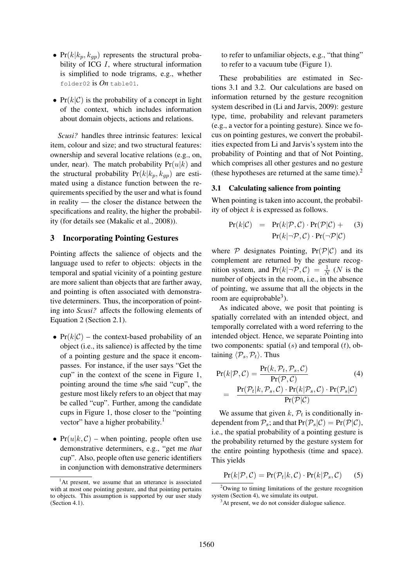- $Pr(k|k_p, k_{gp})$  represents the structural probability of ICG I, where structural information is simplified to node trigrams, e.g., whether folder02 is *On* table01.
- $Pr(k|\mathcal{C})$  is the probability of a concept in light of the context, which includes information about domain objects, actions and relations.

*Scusi?* handles three intrinsic features: lexical item, colour and size; and two structural features: ownership and several locative relations (e.g., on, under, near). The match probability  $Pr(u|k)$  and the structural probability  $Pr(k|k_p, k_{gp})$  are estimated using a distance function between the requirements specified by the user and what is found in reality — the closer the distance between the specifications and reality, the higher the probability (for details see (Makalic et al., 2008)).

#### 3 Incorporating Pointing Gestures

Pointing affects the salience of objects and the language used to refer to objects: objects in the temporal and spatial vicinity of a pointing gesture are more salient than objects that are farther away, and pointing is often associated with demonstrative determiners. Thus, the incorporation of pointing into *Scusi?* affects the following elements of Equation 2 (Section 2.1).

- $Pr(k|\mathcal{C})$  the context-based probability of an object (i.e., its salience) is affected by the time of a pointing gesture and the space it encompasses. For instance, if the user says "Get the cup" in the context of the scene in Figure 1, pointing around the time s/he said "cup", the gesture most likely refers to an object that may be called "cup". Further, among the candidate cups in Figure 1, those closer to the "pointing vector" have a higher probability.<sup>1</sup>
- $Pr(u|k, C)$  when pointing, people often use demonstrative determiners, e.g., "get me *that* cup". Also, people often use generic identifiers in conjunction with demonstrative determiners

to refer to unfamiliar objects, e.g., "that thing" to refer to a vacuum tube (Figure 1).

These probabilities are estimated in Sections 3.1 and 3.2. Our calculations are based on information returned by the gesture recognition system described in (Li and Jarvis, 2009): gesture type, time, probability and relevant parameters (e.g., a vector for a pointing gesture). Since we focus on pointing gestures, we convert the probabilities expected from Li and Jarvis's system into the probability of Pointing and that of Not Pointing, which comprises all other gestures and no gesture (these hypotheses are returned at the same time).<sup>2</sup>

## 3.1 Calculating salience from pointing

When pointing is taken into account, the probability of object  $k$  is expressed as follows.

$$
Pr(k|\mathcal{C}) = Pr(k|\mathcal{P}, \mathcal{C}) \cdot Pr(\mathcal{P}|\mathcal{C}) + Pr(k|\mathcal{P}, \mathcal{C}) \cdot Pr(\mathcal{P}|\mathcal{C})
$$
 (3)

where  $P$  designates Pointing,  $Pr(P|C)$  and its complement are returned by the gesture recognition system, and  $Pr(k|\neg P, C) = \frac{1}{N}$  (N is the number of objects in the room, i.e., in the absence of pointing, we assume that all the objects in the room are equiprobable<sup>3</sup>).

As indicated above, we posit that pointing is spatially correlated with an intended object, and temporally correlated with a word referring to the intended object. Hence, we separate Pointing into two components: spatial  $(s)$  and temporal  $(t)$ , obtaining  $\langle \mathcal{P}_s, \mathcal{P}_t \rangle$ . Thus

$$
Pr(k|\mathcal{P}, \mathcal{C}) = \frac{Pr(k, \mathcal{P}_t, \mathcal{P}_s, \mathcal{C})}{Pr(\mathcal{P}, \mathcal{C})}
$$
(4)  
= 
$$
\frac{Pr(\mathcal{P}_t|k, \mathcal{P}_s, \mathcal{C}) \cdot Pr(k|\mathcal{P}_s, \mathcal{C}) \cdot Pr(\mathcal{P}_s|\mathcal{C})}{Pr(\mathcal{P}|\mathcal{C})}
$$

We assume that given  $k$ ,  $\mathcal{P}_t$  is conditionally independent from  $P_s$ ; and that  $Pr(\mathcal{P}_s|\mathcal{C}) = Pr(\mathcal{P}|\mathcal{C}),$ i.e., the spatial probability of a pointing gesture is the probability returned by the gesture system for the entire pointing hypothesis (time and space). This yields

$$
Pr(k|\mathcal{P}, \mathcal{C}) = Pr(\mathcal{P}_t|k, \mathcal{C}) \cdot Pr(k|\mathcal{P}_s, \mathcal{C}) \qquad (5)
$$

<sup>&</sup>lt;sup>1</sup>At present, we assume that an utterance is associated with at most one pointing gesture, and that pointing pertains to objects. This assumption is supported by our user study (Section 4.1).

<sup>2</sup>Owing to timing limitations of the gesture recognition system (Section 4), we simulate its output.

<sup>&</sup>lt;sup>3</sup>At present, we do not consider dialogue salience.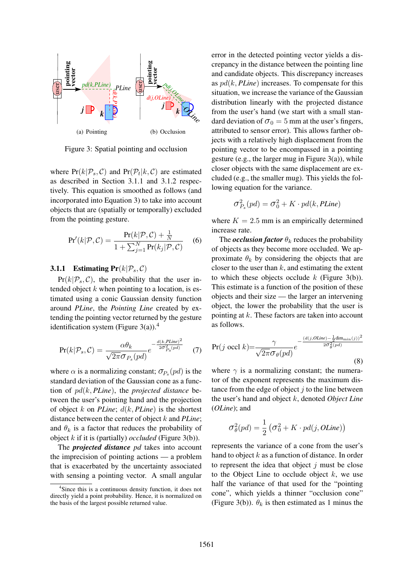

Figure 3: Spatial pointing and occlusion

where  $Pr(k|\mathcal{P}_s, C)$  and  $Pr(\mathcal{P}_t|k, C)$  are estimated as described in Section 3.1.1 and 3.1.2 respectively. This equation is smoothed as follows (and incorporated into Equation 3) to take into account objects that are (spatially or temporally) excluded from the pointing gesture.

$$
Pr'(k|\mathcal{P}, \mathcal{C}) = \frac{Pr(k|\mathcal{P}, \mathcal{C}) + \frac{1}{N}}{1 + \sum_{j=1}^{N} Pr(k_j|\mathcal{P}, \mathcal{C})}
$$
 (6)

### **3.1.1** Estimating  $Pr(k|\mathcal{P}_s, C)$

 $Pr(k|\mathcal{P}_s, C)$ , the probability that the user intended object  $k$  when pointing to a location, is estimated using a conic Gaussian density function around *PLine*, the *Pointing Line* created by extending the pointing vector returned by the gesture identification system (Figure 3(a)).<sup>4</sup>

$$
Pr(k|\mathcal{P}_s, \mathcal{C}) = \frac{\alpha \theta_k}{\sqrt{2\pi} \sigma_{P_s}(pd)} e^{-\frac{d(k, Pline)^2}{2\sigma_{P_s}^2 (pd)}} \tag{7}
$$

where  $\alpha$  is a normalizing constant;  $\sigma_{P_s}(pd)$  is the standard deviation of the Gaussian cone as a function of pd(k, *PLine*), the *projected distance* between the user's pointing hand and the projection of object k on *PLine*; d(k, *PLine*) is the shortest distance between the center of object k and *PLine*; and  $\theta_k$  is a factor that reduces the probability of object k if it is (partially) *occluded* (Figure 3(b)).

The *projected distance pd* takes into account the imprecision of pointing actions — a problem that is exacerbated by the uncertainty associated with sensing a pointing vector. A small angular

error in the detected pointing vector yields a discrepancy in the distance between the pointing line and candidate objects. This discrepancy increases as pd(k, *PLine*) increases. To compensate for this situation, we increase the variance of the Gaussian distribution linearly with the projected distance from the user's hand (we start with a small standard deviation of  $\sigma_0 = 5$  mm at the user's fingers, attributed to sensor error). This allows farther objects with a relatively high displacement from the pointing vector to be encompassed in a pointing gesture (e.g., the larger mug in Figure 3(a)), while closer objects with the same displacement are excluded (e.g., the smaller mug). This yields the following equation for the variance.

$$
\sigma_{P_s}^2(pd) = \sigma_0^2 + K \cdot pd(k, PLine)
$$

where  $K = 2.5$  mm is an empirically determined increase rate.

The *occlusion factor*  $\theta_k$  reduces the probability of objects as they become more occluded. We approximate  $\theta_k$  by considering the objects that are closer to the user than  $k$ , and estimating the extent to which these objects occlude  $k$  (Figure 3(b)). This estimate is a function of the position of these objects and their size — the larger an intervening object, the lower the probability that the user is pointing at k. These factors are taken into account as follows.

$$
\Pr(j \text{ occl } k) = \frac{\gamma}{\sqrt{2\pi}\sigma_{\theta}(pd)} e^{-\frac{(d(j, OLine) - \frac{1}{2} \dim_{\min}(j))^2}{2\sigma_{\theta}^2 (pd)}}
$$
\n(8)

where  $\gamma$  is a normalizing constant; the numerator of the exponent represents the maximum distance from the edge of object  $j$  to the line between the user's hand and object k, denoted *Object Line* (*OLine*); and

$$
\sigma_{\theta}^{2}(pd) = \frac{1}{2} \left( \sigma_{0}^{2} + K \cdot pd(j, OLine) \right)
$$

represents the variance of a cone from the user's hand to object  $k$  as a function of distance. In order to represent the idea that object  $j$  must be close to the Object Line to occlude object  $k$ , we use half the variance of that used for the "pointing cone", which yields a thinner "occlusion cone" (Figure 3(b)).  $\theta_k$  is then estimated as 1 minus the

<sup>&</sup>lt;sup>4</sup>Since this is a continuous density function, it does not directly yield a point probability. Hence, it is normalized on the basis of the largest possible returned value.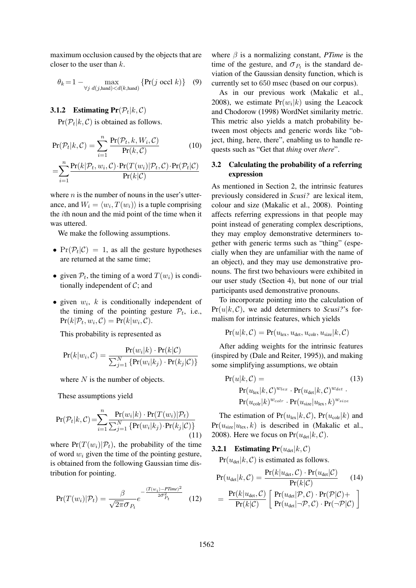maximum occlusion caused by the objects that are closer to the user than  $k$ .

$$
\theta_k = 1 - \max_{\forall j \ d(j,\text{hand}) < d(k,\text{hand})} \{ \Pr(j \ \text{occl } k) \} \quad (9)
$$

# **3.1.2** Estimating  $Pr(\mathcal{P}_t | k, C)$

 $Pr(\mathcal{P}_t | k, C)$  is obtained as follows.

$$
Pr(\mathcal{P}_t | k, \mathcal{C}) = \sum_{i=1}^{n} \frac{Pr(\mathcal{P}_t, k, W_i, \mathcal{C})}{Pr(k, \mathcal{C})}
$$
(10)

$$
\!=\!\!\sum_{i=1}^{n}\!\frac{\Pr(k|\mathcal{P}_{t},w_{i},\mathcal{C})\!\cdot\!\Pr(T(w_{i})|\mathcal{P}_{t},\mathcal{C})\!\cdot\!\Pr(\mathcal{P}_{t}|\mathcal{C})}{\Pr(k|\mathcal{C})}
$$

where  $n$  is the number of nouns in the user's utterance, and  $W_i = \langle w_i, T(w_i) \rangle$  is a tuple comprising the ith noun and the mid point of the time when it was uttered.

We make the following assumptions.

- $Pr(\mathcal{P}_t|\mathcal{C}) = 1$ , as all the gesture hypotheses are returned at the same time;
- given  $P_t$ , the timing of a word  $T(w_i)$  is conditionally independent of  $C$ ; and
- given  $w_i$ , k is conditionally independent of the timing of the pointing gesture  $P_t$ , i.e.,  $Pr(k|\mathcal{P}_t, w_i, \mathcal{C}) = Pr(k|w_i, \mathcal{C}).$

This probability is represented as

$$
Pr(k|w_i, C) = \frac{Pr(w_i|k) \cdot Pr(k|C)}{\sum_{j=1}^{N} \{Pr(w_i|k_j) \cdot Pr(k_j|C)\}}
$$

where  $N$  is the number of objects.

These assumptions yield

$$
Pr(\mathcal{P}_t|k, C) = \sum_{i=1}^n \frac{Pr(w_i|k) \cdot Pr(T(w_i)|\mathcal{P}_t)}{\sum_{j=1}^N \{Pr(w_i|k_j) \cdot Pr(k_j|C)\}}
$$
(11)

where  $Pr(T(w_i)|P_t)$ , the probability of the time of word  $w_i$  given the time of the pointing gesture, is obtained from the following Gaussian time distribution for pointing.

$$
Pr(T(w_i)|\mathcal{P}_t) = \frac{\beta}{\sqrt{2\pi}\sigma_{P_t}} e^{-\frac{(T(w_i) - PTime)^2}{2\sigma_{P_t}^2}}
$$
(12)

where  $\beta$  is a normalizing constant, *PTime* is the time of the gesture, and  $\sigma_{P_t}$  is the standard deviation of the Gaussian density function, which is currently set to 650 msec (based on our corpus).

As in our previous work (Makalic et al., 2008), we estimate  $Pr(w_i|k)$  using the Leacock and Chodorow (1998) WordNet similarity metric. This metric also yields a match probability between most objects and generic words like "object, thing, here, there", enabling us to handle requests such as "Get that *thing* over *there*".

# 3.2 Calculating the probability of a referring expression

As mentioned in Section 2, the intrinsic features previously considered in *Scusi?* are lexical item, colour and size (Makalic et al., 2008). Pointing affects referring expressions in that people may point instead of generating complex descriptions, they may employ demonstrative determiners together with generic terms such as "thing" (especially when they are unfamiliar with the name of an object), and they may use demonstrative pronouns. The first two behaviours were exhibited in our user study (Section 4), but none of our trial participants used demonstrative pronouns.

To incorporate pointing into the calculation of  $Pr(u|k, C)$ , we add determiners to *Scusi?*'s formalism for intrinsic features, which yields

$$
Pr(u|k, C) = Pr(u_{\text{lex}}, u_{\text{det}}, u_{\text{colr}}, u_{\text{size}} | k, C)
$$

After adding weights for the intrinsic features (inspired by (Dale and Reiter, 1995)), and making some simplifying assumptions, we obtain

$$
Pr(u|k, C) = \nPr(u_{\text{lex}}|k, C)^{w_{\text{lex}}} \cdot Pr(u_{\text{det}}|k, C)^{w_{\text{det}}}.
$$
\n
$$
Pr(u_{\text{colr}}|k)^{w_{\text{colr}}} \cdot Pr(u_{\text{size}}|u_{\text{lex}}, k)^{w_{\text{size}}}
$$
\n(13)

The estimation of  $Pr(u_{\text{lex}}|k, C)$ ,  $Pr(u_{\text{colr}}|k)$  and  $Pr(u_{size}|u_{lex}, k)$  is described in (Makalic et al., 2008). Here we focus on  $Pr(u_{det}|k, C)$ .

## **3.2.1** Estimating  $Pr(u_{det}|k, C)$

 $Pr(u_{det}|k, C)$  is estimated as follows.

$$
Pr(u_{det}|k, C) = \frac{Pr(k|u_{det}, C) \cdot Pr(u_{det}|\mathcal{C})}{Pr(k|\mathcal{C})}
$$
(14)  
= 
$$
\frac{Pr(k|u_{det}, C)}{Pr(k|\mathcal{C})} \left[ Pr(u_{det}|\mathcal{P}, \mathcal{C}) \cdot Pr(\mathcal{P}|\mathcal{C}) + \right]
$$

$$
Pr(u_{det}|\neg \mathcal{P}, \mathcal{C}) \cdot Pr(\neg \mathcal{P}|\mathcal{C}) \right]
$$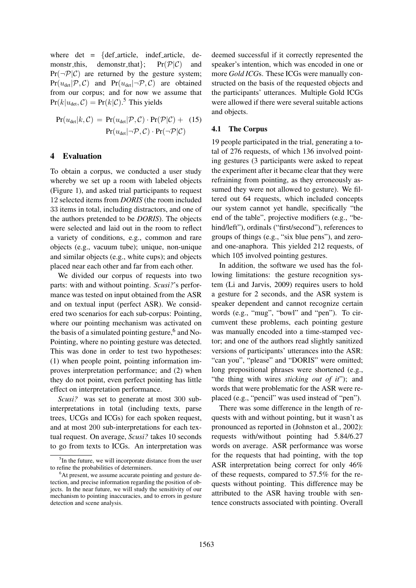where det = {def\_article, indef\_article, de-<br>monstr\_this, demonstr\_that};  $Pr(\mathcal{P}|\mathcal{C})$  and demonstr\_that };  $Pr(\neg P|\mathcal{C})$  are returned by the gesture system;  $Pr(u_{det}|\mathcal{P}, \mathcal{C})$  and  $Pr(u_{det}|\neg \mathcal{P}, \mathcal{C})$  are obtained from our corpus; and for now we assume that  $Pr(k|u_{\text{det}}, C) = Pr(k|C).$ <sup>5</sup> This yields

$$
Pr(u_{\text{det}}|k, C) = Pr(u_{\text{det}}|\mathcal{P}, C) \cdot Pr(\mathcal{P}|\mathcal{C}) + (15)
$$

$$
Pr(u_{\text{det}}|\neg \mathcal{P}, C) \cdot Pr(\neg \mathcal{P}|\mathcal{C})
$$

#### 4 Evaluation

To obtain a corpus, we conducted a user study whereby we set up a room with labeled objects (Figure 1), and asked trial participants to request 12 selected items from *DORIS* (the room included 33 items in total, including distractors, and one of the authors pretended to be *DORIS*). The objects were selected and laid out in the room to reflect a variety of conditions, e.g., common and rare objects (e.g., vacuum tube); unique, non-unique and similar objects (e.g., white cups); and objects placed near each other and far from each other.

We divided our corpus of requests into two parts: with and without pointing. *Scusi?*'s performance was tested on input obtained from the ASR and on textual input (perfect ASR). We considered two scenarios for each sub-corpus: Pointing, where our pointing mechanism was activated on the basis of a simulated pointing gesture,  $6$  and No-Pointing, where no pointing gesture was detected. This was done in order to test two hypotheses: (1) when people point, pointing information improves interpretation performance; and (2) when they do not point, even perfect pointing has little effect on interpretation performance.

*Scusi?* was set to generate at most 300 subinterpretations in total (including texts, parse trees, UCGs and ICGs) for each spoken request, and at most 200 sub-interpretations for each textual request. On average, *Scusi?* takes 10 seconds to go from texts to ICGs. An interpretation was

deemed successful if it correctly represented the speaker's intention, which was encoded in one or more *Gold ICG*s. These ICGs were manually constructed on the basis of the requested objects and the participants' utterances. Multiple Gold ICGs were allowed if there were several suitable actions and objects.

#### 4.1 The Corpus

19 people participated in the trial, generating a total of 276 requests, of which 136 involved pointing gestures (3 participants were asked to repeat the experiment after it became clear that they were refraining from pointing, as they erroneously assumed they were not allowed to gesture). We filtered out 64 requests, which included concepts our system cannot yet handle, specifically "the end of the table", projective modifiers (e.g., "behind/left"), ordinals ("first/second"), references to groups of things (e.g., "six blue pens"), and zeroand one-anaphora. This yielded 212 requests, of which 105 involved pointing gestures.

In addition, the software we used has the following limitations: the gesture recognition system (Li and Jarvis, 2009) requires users to hold a gesture for 2 seconds, and the ASR system is speaker dependent and cannot recognize certain words (e.g., "mug", "bowl" and "pen"). To circumvent these problems, each pointing gesture was manually encoded into a time-stamped vector; and one of the authors read slightly sanitized versions of participants' utterances into the ASR: "can you", "please" and "DORIS" were omitted; long prepositional phrases were shortened (e.g., "the thing with wires *sticking out of it*"); and words that were problematic for the ASR were replaced (e.g., "pencil" was used instead of "pen").

There was some difference in the length of requests with and without pointing, but it wasn't as pronounced as reported in (Johnston et al., 2002): requests with/without pointing had 5.84/6.27 words on average. ASR performance was worse for the requests that had pointing, with the top ASR interpretation being correct for only 46% of these requests, compared to 57.5% for the requests without pointing. This difference may be attributed to the ASR having trouble with sentence constructs associated with pointing. Overall

<sup>&</sup>lt;sup>5</sup>In the future, we will incorporate distance from the user to refine the probabilities of determiners.

<sup>&</sup>lt;sup>6</sup>At present, we assume accurate pointing and gesture detection, and precise information regarding the position of objects. In the near future, we will study the sensitivity of our mechanism to pointing inaccuracies, and to errors in gesture detection and scene analysis.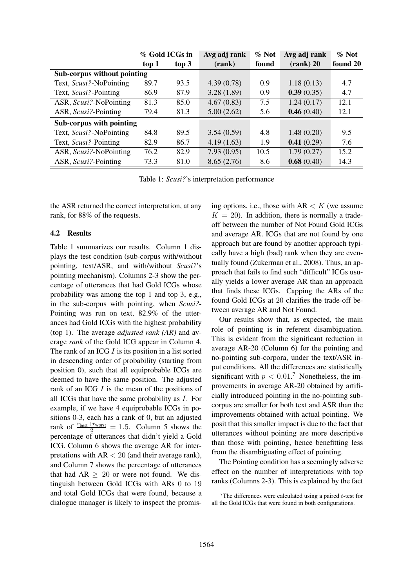|                             | % Gold ICGs in |       | Avg adj rank | $\%$ Not | Avg adj rank | % Not    |
|-----------------------------|----------------|-------|--------------|----------|--------------|----------|
|                             | top 1          | top 3 | (rank)       | found    | $(rank)$ 20  | found 20 |
| Sub-corpus without pointing |                |       |              |          |              |          |
| Text, Scusi?-NoPointing     | 89.7           | 93.5  | 4.39(0.78)   | 0.9      | 1.18(0.13)   | 4.7      |
| Text, Scusi?-Pointing       | 86.9           | 87.9  | 3.28(1.89)   | 0.9      | 0.39(0.35)   | 4.7      |
| ASR, Scusi?-NoPointing      | 81.3           | 85.0  | 4.67(0.83)   | 7.5      | 1.24(0.17)   | 12.1     |
| ASR, Scusi?-Pointing        | 79.4           | 81.3  | 5.00(2.62)   | 5.6      | 0.46(0.40)   | 12.1     |
| Sub-corpus with pointing    |                |       |              |          |              |          |
| Text, Scusi?-NoPointing     | 84.8           | 89.5  | 3.54(0.59)   | 4.8      | 1.48(0.20)   | 9.5      |
| Text, Scusi?-Pointing       | 82.9           | 86.7  | 4.19(1.63)   | 1.9      | 0.41(0.29)   | 7.6      |
| ASR, Scusi?-NoPointing      | 76.2           | 82.9  | 7.93(0.95)   | 10.5     | 1.79(0.27)   | 15.2     |
| ASR, Scusi?-Pointing        | 73.3           | 81.0  | 8.65(2.76)   | 8.6      | 0.68(0.40)   | 14.3     |

Table 1: *Scusi?*'s interpretation performance

the ASR returned the correct interpretation, at any rank, for 88% of the requests.

## 4.2 Results

Table 1 summarizes our results. Column 1 displays the test condition (sub-corpus with/without pointing, text/ASR, and with/without *Scusi?*'s pointing mechanism). Columns 2-3 show the percentage of utterances that had Gold ICGs whose probability was among the top 1 and top 3, e.g., in the sub-corpus with pointing, when *Scusi?*- Pointing was run on text, 82.9% of the utterances had Gold ICGs with the highest probability (top 1). The average *adjusted rank (AR)* and average *rank* of the Gold ICG appear in Column 4. The rank of an ICG  $I$  is its position in a list sorted in descending order of probability (starting from position 0), such that all equiprobable ICGs are deemed to have the same position. The adjusted rank of an ICG I is the mean of the positions of all ICGs that have the same probability as I. For example, if we have 4 equiprobable ICGs in positions 0-3, each has a rank of 0, but an adjusted rank of  $\frac{r_{\text{best}}+r_{\text{worst}}}{2} = 1.5$ . Column 5 shows the percentage of utterances that didn't yield a Gold ICG. Column 6 shows the average AR for interpretations with  $AR < 20$  (and their average rank), and Column 7 shows the percentage of utterances that had  $AR \geq 20$  or were not found. We distinguish between Gold ICGs with ARs 0 to 19 and total Gold ICGs that were found, because a dialogue manager is likely to inspect the promising options, i.e., those with  $AR < K$  (we assume  $K = 20$ ). In addition, there is normally a tradeoff between the number of Not Found Gold ICGs and average AR. ICGs that are not found by one approach but are found by another approach typically have a high (bad) rank when they are eventually found (Zukerman et al., 2008). Thus, an approach that fails to find such "difficult" ICGs usually yields a lower average AR than an approach that finds these ICGs. Capping the ARs of the found Gold ICGs at 20 clarifies the trade-off between average AR and Not Found.

Our results show that, as expected, the main role of pointing is in referent disambiguation. This is evident from the significant reduction in average AR-20 (Column 6) for the pointing and no-pointing sub-corpora, under the text/ASR input conditions. All the differences are statistically significant with  $p < 0.01$ .<sup>7</sup> Nonetheless, the improvements in average AR-20 obtained by artificially introduced pointing in the no-pointing subcorpus are smaller for both text and ASR than the improvements obtained with actual pointing. We posit that this smaller impact is due to the fact that utterances without pointing are more descriptive than those with pointing, hence benefitting less from the disambiguating effect of pointing.

The Pointing condition has a seemingly adverse effect on the number of interpretations with top ranks (Columns 2-3). This is explained by the fact

<sup>&</sup>lt;sup>7</sup>The differences were calculated using a paired  $t$ -test for all the Gold ICGs that were found in both configurations.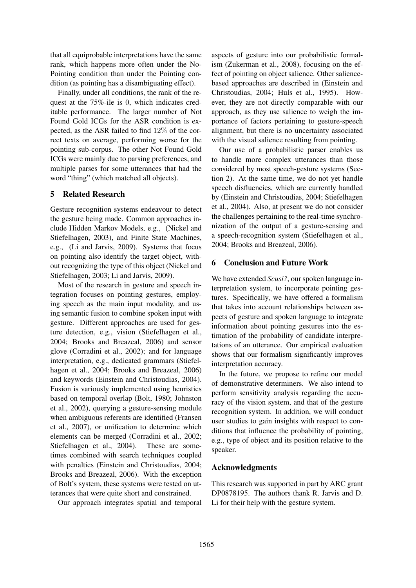that all equiprobable interpretations have the same rank, which happens more often under the No-Pointing condition than under the Pointing condition (as pointing has a disambiguating effect).

Finally, under all conditions, the rank of the request at the 75%-ile is 0, which indicates creditable performance. The larger number of Not Found Gold ICGs for the ASR condition is expected, as the ASR failed to find 12% of the correct texts on average, performing worse for the pointing sub-corpus. The other Not Found Gold ICGs were mainly due to parsing preferences, and multiple parses for some utterances that had the word "thing" (which matched all objects).

## 5 Related Research

Gesture recognition systems endeavour to detect the gesture being made. Common approaches include Hidden Markov Models, e.g., (Nickel and Stiefelhagen, 2003), and Finite State Machines, e.g., (Li and Jarvis, 2009). Systems that focus on pointing also identify the target object, without recognizing the type of this object (Nickel and Stiefelhagen, 2003; Li and Jarvis, 2009).

Most of the research in gesture and speech integration focuses on pointing gestures, employing speech as the main input modality, and using semantic fusion to combine spoken input with gesture. Different approaches are used for gesture detection, e.g., vision (Stiefelhagen et al., 2004; Brooks and Breazeal, 2006) and sensor glove (Corradini et al., 2002); and for language interpretation, e.g., dedicated grammars (Stiefelhagen et al., 2004; Brooks and Breazeal, 2006) and keywords (Einstein and Christoudias, 2004). Fusion is variously implemented using heuristics based on temporal overlap (Bolt, 1980; Johnston et al., 2002), querying a gesture-sensing module when ambiguous referents are identified (Fransen et al., 2007), or unification to determine which elements can be merged (Corradini et al., 2002; Stiefelhagen et al., 2004). These are sometimes combined with search techniques coupled with penalties (Einstein and Christoudias, 2004; Brooks and Breazeal, 2006). With the exception of Bolt's system, these systems were tested on utterances that were quite short and constrained.

Our approach integrates spatial and temporal

aspects of gesture into our probabilistic formalism (Zukerman et al., 2008), focusing on the effect of pointing on object salience. Other saliencebased approaches are described in (Einstein and Christoudias, 2004; Huls et al., 1995). However, they are not directly comparable with our approach, as they use salience to weigh the importance of factors pertaining to gesture-speech alignment, but there is no uncertainty associated with the visual salience resulting from pointing.

Our use of a probabilistic parser enables us to handle more complex utterances than those considered by most speech-gesture systems (Section 2). At the same time, we do not yet handle speech disfluencies, which are currently handled by (Einstein and Christoudias, 2004; Stiefelhagen et al., 2004). Also, at present we do not consider the challenges pertaining to the real-time synchronization of the output of a gesture-sensing and a speech-recognition system (Stiefelhagen et al., 2004; Brooks and Breazeal, 2006).

# 6 Conclusion and Future Work

We have extended *Scusi?*, our spoken language interpretation system, to incorporate pointing gestures. Specifically, we have offered a formalism that takes into account relationships between aspects of gesture and spoken language to integrate information about pointing gestures into the estimation of the probability of candidate interpretations of an utterance. Our empirical evaluation shows that our formalism significantly improves interpretation accuracy.

In the future, we propose to refine our model of demonstrative determiners. We also intend to perform sensitivity analysis regarding the accuracy of the vision system, and that of the gesture recognition system. In addition, we will conduct user studies to gain insights with respect to conditions that influence the probability of pointing, e.g., type of object and its position relative to the speaker.

#### Acknowledgments

This research was supported in part by ARC grant DP0878195. The authors thank R. Jarvis and D. Li for their help with the gesture system.